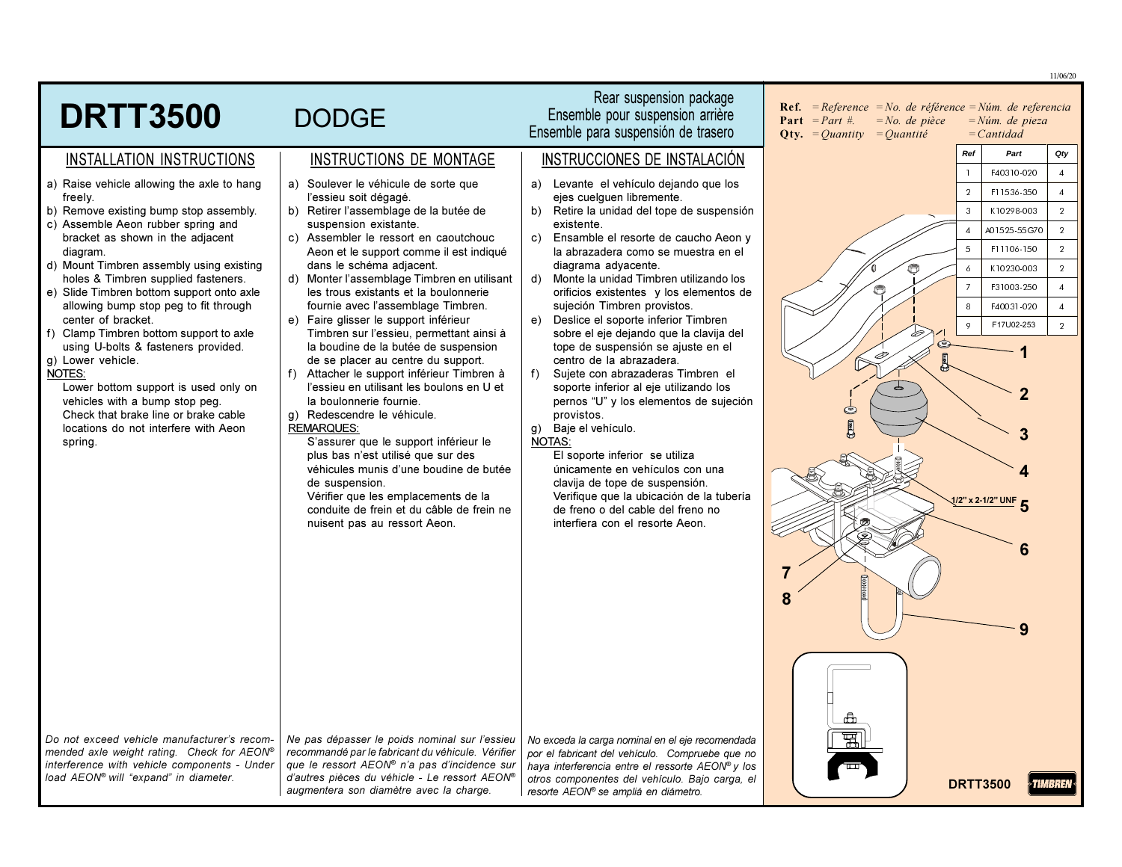|                                                                                       |                                                                                               |                                                                                                    |                                                                                                                                                                 |                                          | 11/06/20       |
|---------------------------------------------------------------------------------------|-----------------------------------------------------------------------------------------------|----------------------------------------------------------------------------------------------------|-----------------------------------------------------------------------------------------------------------------------------------------------------------------|------------------------------------------|----------------|
| <b>DRTT3500</b>                                                                       | <b>DODGE</b>                                                                                  | Rear suspension package<br>Ensemble pour suspension arrière<br>Ensemble para suspensión de trasero | <b>Ref.</b> = Reference = No. de référence = Núm. de referencia<br><b>Part</b> = Part #.<br>$=No$ . de pièce<br><b>Oty.</b> = <i>Ouantity</i> = <i>Ouantité</i> | $=N$ úm. de pieza<br>$=$ <i>Cantidad</i> |                |
| INSTALLATION INSTRUCTIONS                                                             | INSTRUCTIONS DE MONTAGE                                                                       | INSTRUCCIONES DE INSTALACIÓN                                                                       |                                                                                                                                                                 | Ref<br>Part                              | Qty            |
| a) Raise vehicle allowing the axle to hang                                            | a) Soulever le véhicule de sorte que                                                          | a) Levante el vehículo dejando que los                                                             |                                                                                                                                                                 | F40310-020                               | $\overline{4}$ |
| freely.                                                                               | l'essieu soit dégagé.                                                                         | ejes cuelquen libremente.                                                                          |                                                                                                                                                                 | $\overline{2}$<br>F11536-350             | $\overline{4}$ |
| b) Remove existing bump stop assembly.                                                | b) Retirer l'assemblage de la butée de                                                        | Retire la unidad del tope de suspensión<br>b)                                                      |                                                                                                                                                                 | $\overline{3}$<br>K10298-003             | $\overline{2}$ |
| c) Assemble Aeon rubber spring and<br>bracket as shown in the adjacent                | suspension existante.<br>c) Assembler le ressort en caoutchouc                                | existente.<br>Ensamble el resorte de caucho Aeon y<br>$\mathbf{c}$                                 |                                                                                                                                                                 | A01525-55G70<br>$\overline{4}$           | $\overline{2}$ |
| diagram.                                                                              | Aeon et le support comme il est indiqué                                                       | la abrazadera como se muestra en el                                                                |                                                                                                                                                                 | F11106-150<br>$\overline{5}$             | $\overline{2}$ |
| d) Mount Timbren assembly using existing<br>holes & Timbren supplied fasteners.       | dans le schéma adjacent.<br>d) Monter l'assemblage Timbren en utilisant                       | diagrama adyacente.<br>Monte la unidad Timbren utilizando los<br>d)                                |                                                                                                                                                                 | K10230-003                               | $\overline{2}$ |
| e) Slide Timbren bottom support onto axle                                             | les trous existants et la boulonnerie                                                         | orificios existentes y los elementos de                                                            |                                                                                                                                                                 | F31003-250                               | $\overline{4}$ |
| allowing bump stop peg to fit through                                                 | fournie avec l'assemblage Timbren.                                                            | sujeción Timbren provistos.                                                                        |                                                                                                                                                                 | 8<br>F40031-020                          | $\overline{4}$ |
| center of bracket.<br>f) Clamp Timbren bottom support to axle                         | e) Faire glisser le support inférieur<br>Timbren sur l'essieu, permettant ainsi à             | Deslice el soporte inferior Timbren<br>e)<br>sobre el eje dejando que la clavija del               |                                                                                                                                                                 | F17U02-253<br>$\circ$                    | $\overline{2}$ |
| using U-bolts & fasteners provided.                                                   | la boudine de la butée de suspension                                                          | tope de suspensión se ajuste en el                                                                 | s                                                                                                                                                               |                                          |                |
| g) Lower vehicle.<br>NOTES:                                                           | de se placer au centre du support.<br>$f$ )<br>Attacher le support inférieur Timbren à        | centro de la abrazadera.<br>Sujete con abrazaderas Timbren el<br>f)                                |                                                                                                                                                                 |                                          |                |
| Lower bottom support is used only on                                                  | l'essieu en utilisant les boulons en U et                                                     | soporte inferior al eje utilizando los                                                             |                                                                                                                                                                 |                                          |                |
| vehicles with a bump stop peg.<br>Check that brake line or brake cable                | la boulonnerie fournie.<br>q) Redescendre le véhicule.                                        | pernos "U" y los elementos de sujeción<br>provistos.                                               | C                                                                                                                                                               |                                          |                |
| locations do not interfere with Aeon                                                  | <b>REMARQUES:</b>                                                                             | Baje el vehículo.<br>g)                                                                            |                                                                                                                                                                 |                                          |                |
| spring.                                                                               | S'assurer que le support inférieur le                                                         | <b>NOTAS:</b>                                                                                      |                                                                                                                                                                 |                                          |                |
|                                                                                       | plus bas n'est utilisé que sur des<br>véhicules munis d'une boudine de butée                  | El soporte inferior se utiliza<br>únicamente en vehículos con una                                  |                                                                                                                                                                 |                                          |                |
|                                                                                       | de suspension.                                                                                | clavija de tope de suspensión.                                                                     |                                                                                                                                                                 |                                          |                |
|                                                                                       | Vérifier que les emplacements de la<br>conduite de frein et du câble de frein ne              | Verifique que la ubicación de la tubería<br>de freno o del cable del freno no                      |                                                                                                                                                                 | $1/2$ " x 2-1/2" UNF                     |                |
|                                                                                       | nuisent pas au ressort Aeon.                                                                  | interfiera con el resorte Aeon.                                                                    |                                                                                                                                                                 |                                          |                |
|                                                                                       |                                                                                               |                                                                                                    |                                                                                                                                                                 |                                          |                |
|                                                                                       |                                                                                               |                                                                                                    |                                                                                                                                                                 |                                          |                |
|                                                                                       |                                                                                               |                                                                                                    |                                                                                                                                                                 |                                          |                |
|                                                                                       |                                                                                               |                                                                                                    | 8                                                                                                                                                               |                                          |                |
|                                                                                       |                                                                                               |                                                                                                    |                                                                                                                                                                 |                                          |                |
|                                                                                       |                                                                                               |                                                                                                    |                                                                                                                                                                 |                                          |                |
|                                                                                       |                                                                                               |                                                                                                    |                                                                                                                                                                 |                                          |                |
|                                                                                       |                                                                                               |                                                                                                    |                                                                                                                                                                 |                                          |                |
|                                                                                       |                                                                                               |                                                                                                    |                                                                                                                                                                 |                                          |                |
|                                                                                       |                                                                                               |                                                                                                    |                                                                                                                                                                 |                                          |                |
| Do not exceed vehicle manufacturer's recom-                                           | Ne pas dépasser le poids nominal sur l'essieu                                                 | No exceda la carga nominal en el eje recomendada                                                   | 뗿                                                                                                                                                               |                                          |                |
| mended axle weight rating. Check for AEON®                                            | recommandé par le fabricant du véhicule. Vérifier                                             | por el fabricant del vehículo. Compruebe que no                                                    |                                                                                                                                                                 |                                          |                |
| interference with vehicle components - Under<br>load AEON® will "expand" in diameter. | que le ressort AEON® n'a pas d'incidence sur<br>d'autres pièces du véhicle - Le ressort AEON® | haya interferencia entre el ressorte AEON® y los<br>otros componentes del vehículo. Bajo carga, el |                                                                                                                                                                 |                                          |                |
|                                                                                       | augmentera son diamètre avec la charge.                                                       | resorte AEON® se ampliá en diámetro.                                                               |                                                                                                                                                                 | <b>DRTT3500</b>                          |                |